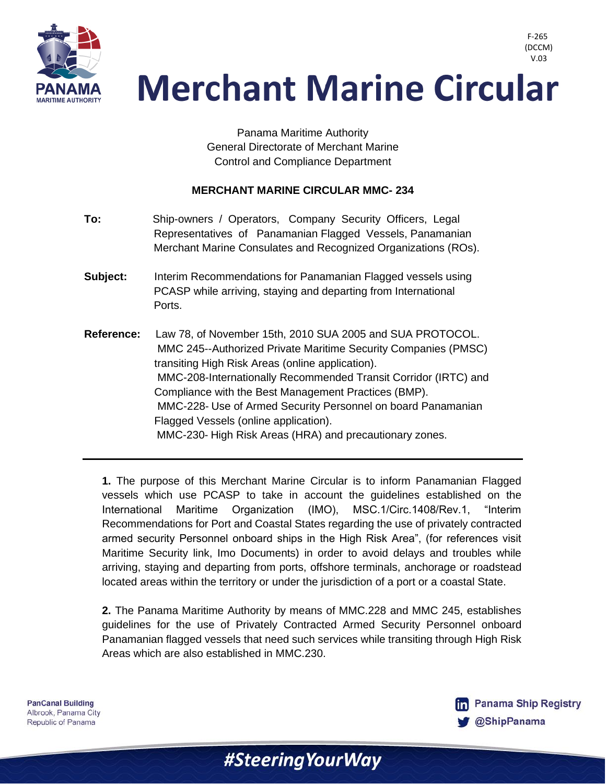

 V.03**Merchant Marine Circular** 

> Panama Maritime Authority General Directorate of Merchant Marine Control and Compliance Department

## **MERCHANT MARINE CIRCULAR MMC- 234**

- **To:** Ship-owners / Operators, Company Security Officers, Legal Representatives of Panamanian Flagged Vessels, Panamanian Merchant Marine Consulates and Recognized Organizations (ROs).
- **Subject:** Interim Recommendations for Panamanian Flagged vessels using PCASP while arriving, staying and departing from International Ports.
- **Reference:** Law 78, of November 15th, 2010 SUA 2005 and SUA PROTOCOL. MMC 245--Authorized Private Maritime Security Companies (PMSC) transiting High Risk Areas (online application). MMC-208-Internationally Recommended Transit Corridor (IRTC) and Compliance with the Best Management Practices (BMP). MMC-228- Use of Armed Security Personnel on board Panamanian Flagged Vessels (online application). MMC-230- High Risk Areas (HRA) and precautionary zones.

**1.** The purpose of this Merchant Marine Circular is to inform Panamanian Flagged vessels which use PCASP to take in account the guidelines established on the International Maritime Organization (IMO), MSC.1/Circ.1408/Rev.1, "Interim Recommendations for Port and Coastal States regarding the use of privately contracted armed security Personnel onboard ships in the High Risk Area", (for references visit Maritime Security link, Imo Documents) in order to avoid delays and troubles while arriving, staying and departing from ports, offshore terminals, anchorage or roadstead located areas within the territory or under the jurisdiction of a port or a coastal State.

**2.** The Panama Maritime Authority by means of MMC.228 and MMC 245, establishes guidelines for the use of Privately Contracted Armed Security Personnel onboard Panamanian flagged vessels that need such services while transiting through High Risk Areas which are also established in MMC.230.

#Steering Your Way

**PanCanal Building** Albrook, Panama City Republic of Panama



F-265 (DCCM)